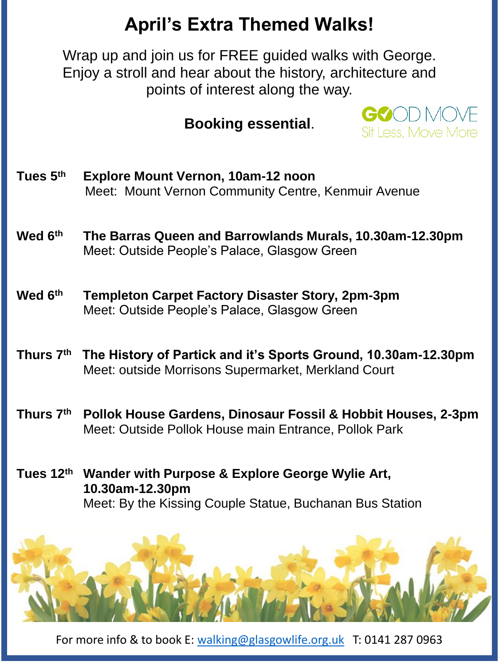## **April's Extra Themed Walks!**

Wrap up and join us for FREE guided walks with George. Enjoy a stroll and hear about the history, architecture and points of interest along the way.

## **Booking essential**.



- **Tues 5th Explore Mount Vernon, 10am-12 noon** Meet: Mount Vernon Community Centre, Kenmuir Avenue
- **Wed 6th The Barras Queen and Barrowlands Murals, 10.30am-12.30pm** Meet: Outside People's Palace, Glasgow Green
- **Wed 6th Templeton Carpet Factory Disaster Story, 2pm-3pm** Meet: Outside People's Palace, Glasgow Green
- **Thurs 7th The History of Partick and it's Sports Ground, 10.30am-12.30pm** Meet: outside Morrisons Supermarket, Merkland Court
- **Thurs 7th Pollok House Gardens, Dinosaur Fossil & Hobbit Houses, 2-3pm** Meet: Outside Pollok House main Entrance, Pollok Park
- **Tues 12th Wander with Purpose & Explore George Wylie Art, 10.30am-12.30pm** Meet: By the Kissing Couple Statue, Buchanan Bus Station



For more info & to book E: [walking@glasgowlife.org.uk](mailto:walking@glasgowlife.org.uk) T: 0141 287 0963